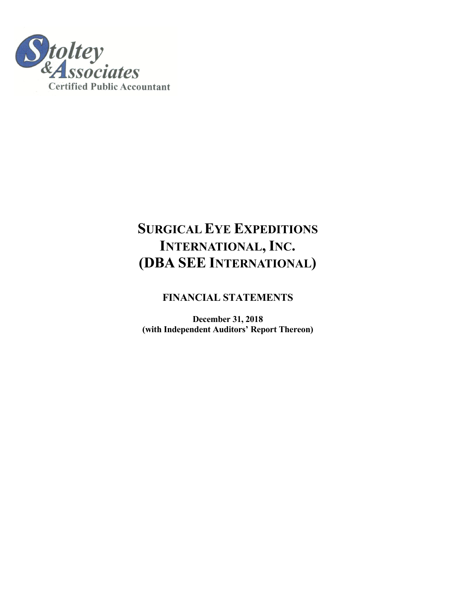

# **SURGICAL EYE EXPEDITIONS INTERNATIONAL, INC. (DBA SEE INTERNATIONAL)**

### **FINANCIAL STATEMENTS**

**December 31, 2018 (with Independent Auditors' Report Thereon)**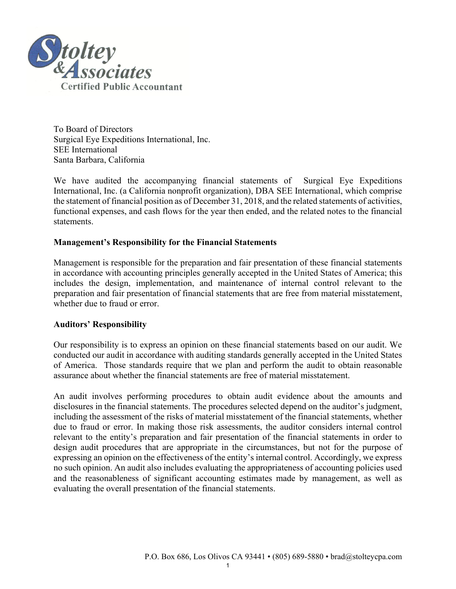

To Board of Directors Surgical Eye Expeditions International, Inc. SEE International Santa Barbara, California

We have audited the accompanying financial statements of Surgical Eye Expeditions International, Inc. (a California nonprofit organization), DBA SEE International, which comprise the statement of financial position as of December 31, 2018, and the related statements of activities, functional expenses, and cash flows for the year then ended, and the related notes to the financial statements.

### **Management's Responsibility for the Financial Statements**

Management is responsible for the preparation and fair presentation of these financial statements in accordance with accounting principles generally accepted in the United States of America; this includes the design, implementation, and maintenance of internal control relevant to the preparation and fair presentation of financial statements that are free from material misstatement, whether due to fraud or error.

### **Auditors' Responsibility**

Our responsibility is to express an opinion on these financial statements based on our audit. We conducted our audit in accordance with auditing standards generally accepted in the United States of America. Those standards require that we plan and perform the audit to obtain reasonable assurance about whether the financial statements are free of material misstatement.

An audit involves performing procedures to obtain audit evidence about the amounts and disclosures in the financial statements. The procedures selected depend on the auditor's judgment, including the assessment of the risks of material misstatement of the financial statements, whether due to fraud or error. In making those risk assessments, the auditor considers internal control relevant to the entity's preparation and fair presentation of the financial statements in order to design audit procedures that are appropriate in the circumstances, but not for the purpose of expressing an opinion on the effectiveness of the entity's internal control. Accordingly, we express no such opinion. An audit also includes evaluating the appropriateness of accounting policies used and the reasonableness of significant accounting estimates made by management, as well as evaluating the overall presentation of the financial statements.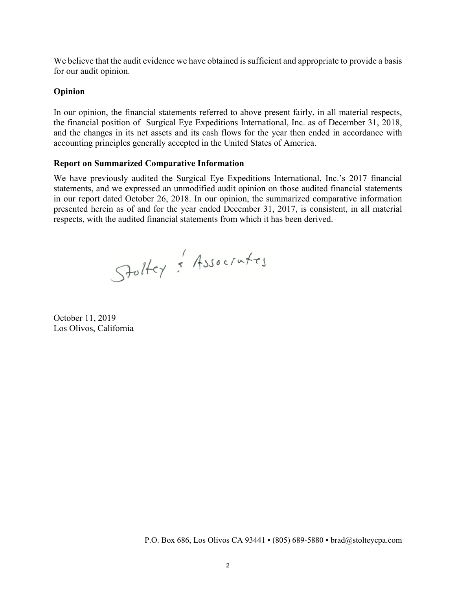We believe that the audit evidence we have obtained is sufficient and appropriate to provide a basis for our audit opinion.

### **Opinion**

In our opinion, the financial statements referred to above present fairly, in all material respects, the financial position of Surgical Eye Expeditions International, Inc. as of December 31, 2018, and the changes in its net assets and its cash flows for the year then ended in accordance with accounting principles generally accepted in the United States of America.

### **Report on Summarized Comparative Information**

We have previously audited the Surgical Eye Expeditions International, Inc.'s 2017 financial statements, and we expressed an unmodified audit opinion on those audited financial statements in our report dated October 26, 2018. In our opinion, the summarized comparative information presented herein as of and for the year ended December 31, 2017, is consistent, in all material respects, with the audited financial statements from which it has been derived.

Staltey & Associates

October 11, 2019 Los Olivos, California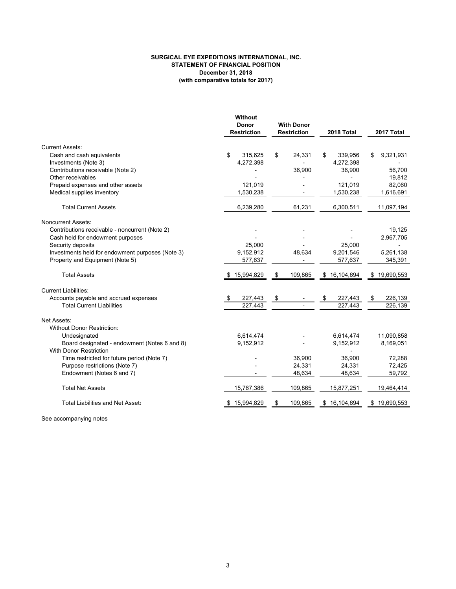#### **SURGICAL EYE EXPEDITIONS INTERNATIONAL, INC. STATEMENT OF FINANCIAL POSITION December 31, 2018 (with comparative totals for 2017)**

|                                                                               | <b>Without</b><br><b>Donor</b><br><b>Restriction</b> | <b>With Donor</b><br><b>Restriction</b> | 2018 Total       | 2017 Total       |
|-------------------------------------------------------------------------------|------------------------------------------------------|-----------------------------------------|------------------|------------------|
| <b>Current Assets:</b>                                                        |                                                      |                                         |                  |                  |
| Cash and cash equivalents                                                     | \$<br>315,625                                        | \$<br>24,331                            | \$<br>339,956    | 9,321,931<br>\$  |
| Investments (Note 3)                                                          | 4,272,398                                            |                                         | 4,272,398        |                  |
| Contributions receivable (Note 2)                                             |                                                      | 36,900                                  | 36,900           | 56,700           |
| Other receivables                                                             |                                                      |                                         |                  | 19,812           |
| Prepaid expenses and other assets                                             | 121,019                                              |                                         | 121,019          | 82,060           |
| Medical supplies inventory                                                    | 1,530,238                                            |                                         | 1,530,238        | 1,616,691        |
| <b>Total Current Assets</b>                                                   | 6,239,280                                            | 61,231                                  | 6,300,511        | 11,097,194       |
| <b>Noncurrent Assets:</b>                                                     |                                                      |                                         |                  |                  |
| Contributions receivable - noncurrent (Note 2)                                |                                                      |                                         |                  | 19,125           |
| Cash held for endowment purposes                                              |                                                      |                                         |                  | 2,967,705        |
| Security deposits                                                             | 25,000                                               |                                         | 25,000           |                  |
| Investments held for endowment purposes (Note 3)                              | 9,152,912                                            | 48,634                                  | 9,201,546        | 5,261,138        |
| Property and Equipment (Note 5)                                               | 577,637                                              |                                         | 577,637          | 345,391          |
| <b>Total Assets</b>                                                           | 15,994,829                                           | \$<br>109,865                           | 16,104,694<br>\$ | 19,690,553<br>\$ |
| <b>Current Liabilities:</b>                                                   |                                                      |                                         |                  |                  |
| Accounts payable and accrued expenses                                         | \$<br>227,443                                        | \$                                      | \$<br>227,443    | 226,139<br>\$    |
| <b>Total Current Liabilities</b>                                              | 227.443                                              |                                         | 227.443          | 226.139          |
| Net Assets:                                                                   |                                                      |                                         |                  |                  |
| <b>Without Donor Restriction:</b>                                             |                                                      |                                         |                  |                  |
| Undesignated                                                                  | 6,614,474                                            |                                         | 6,614,474        | 11,090,858       |
| Board designated - endowment (Notes 6 and 8)<br><b>With Donor Restriction</b> | 9,152,912                                            |                                         | 9,152,912        | 8,169,051        |
| Time restricted for future period (Note 7)                                    |                                                      | 36,900                                  | 36,900           | 72,288           |
| Purpose restrictions (Note 7)                                                 |                                                      | 24,331                                  | 24,331           | 72,425           |
| Endowment (Notes 6 and 7)                                                     |                                                      | 48,634                                  | 48,634           | 59,792           |
| <b>Total Net Assets</b>                                                       | 15,767,386                                           | 109,865                                 | 15,877,251       | 19,464,414       |
| <b>Total Liabilities and Net Assets</b>                                       | 15,994,829<br>\$                                     | 109,865<br>\$                           | \$16,104,694     | \$19,690,553     |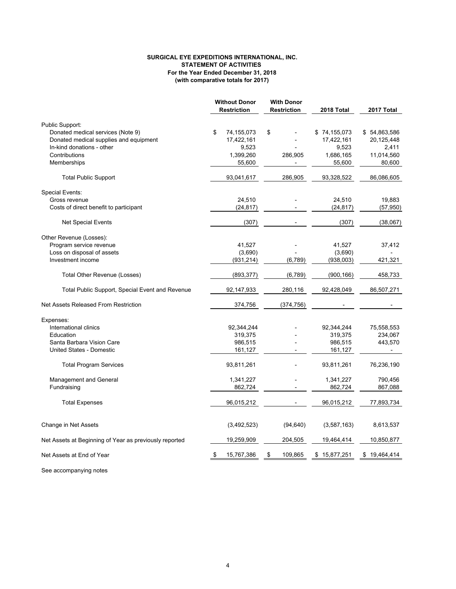#### **SURGICAL EYE EXPEDITIONS INTERNATIONAL, INC. STATEMENT OF ACTIVITIES For the Year Ended December 31, 2018 (with comparative totals for 2017)**

|                                                        | <b>Without Donor</b> |                          | <b>With Donor</b> |                    |                            |                            |  |
|--------------------------------------------------------|----------------------|--------------------------|-------------------|--------------------|----------------------------|----------------------------|--|
|                                                        |                      | <b>Restriction</b>       |                   | <b>Restriction</b> | 2018 Total                 | 2017 Total                 |  |
| Public Support:                                        |                      |                          |                   |                    |                            |                            |  |
| Donated medical services (Note 9)                      | \$                   |                          | \$                |                    |                            |                            |  |
| Donated medical supplies and equipment                 |                      | 74,155,073<br>17,422,161 |                   |                    | \$74,155,073<br>17,422,161 | \$54,863,586<br>20,125,448 |  |
| In-kind donations - other                              |                      |                          |                   |                    |                            |                            |  |
|                                                        |                      | 9,523                    |                   |                    | 9,523                      | 2,411                      |  |
| Contributions                                          |                      | 1,399,260                |                   | 286,905            | 1,686,165                  | 11,014,560                 |  |
| Memberships                                            |                      | 55,600                   |                   |                    | 55,600                     | 80,600                     |  |
| <b>Total Public Support</b>                            |                      | 93,041,617               |                   | 286,905            | 93,328,522                 | 86,086,605                 |  |
| Special Events:                                        |                      |                          |                   |                    |                            |                            |  |
| Gross revenue                                          |                      | 24,510                   |                   |                    | 24,510                     | 19,883                     |  |
| Costs of direct benefit to participant                 |                      | (24, 817)                |                   |                    | (24, 817)                  | (57, 950)                  |  |
|                                                        |                      |                          |                   |                    |                            |                            |  |
| <b>Net Special Events</b>                              |                      | (307)                    |                   |                    | (307)                      | (38,067)                   |  |
| Other Revenue (Losses):                                |                      |                          |                   |                    |                            |                            |  |
| Program service revenue                                |                      | 41,527                   |                   |                    | 41,527                     | 37,412                     |  |
| Loss on disposal of assets                             |                      | (3,690)                  |                   |                    | (3,690)                    |                            |  |
| Investment income                                      |                      | (931, 214)               |                   | (6,789)            | (938,003)                  | 421,321                    |  |
|                                                        |                      |                          |                   |                    |                            |                            |  |
| Total Other Revenue (Losses)                           |                      | (893, 377)               |                   | (6,789)            | (900, 166)                 | 458,733                    |  |
| Total Public Support, Special Event and Revenue        |                      | 92,147,933               |                   | 280,116            | 92,428,049                 | 86,507,271                 |  |
| Net Assets Released From Restriction                   |                      | 374,756                  |                   | (374, 756)         |                            |                            |  |
| Expenses:                                              |                      |                          |                   |                    |                            |                            |  |
| International clinics                                  |                      | 92,344,244               |                   |                    | 92,344,244                 | 75,558,553                 |  |
| Education                                              |                      | 319,375                  |                   |                    | 319,375                    | 234,067                    |  |
| Santa Barbara Vision Care                              |                      | 986,515                  |                   |                    | 986,515                    | 443,570                    |  |
| United States - Domestic                               |                      | 161,127                  |                   |                    | 161,127                    | $\overline{a}$             |  |
|                                                        |                      |                          |                   |                    |                            |                            |  |
| <b>Total Program Services</b>                          |                      | 93,811,261               |                   |                    | 93,811,261                 | 76,236,190                 |  |
| Management and General                                 |                      | 1,341,227                |                   |                    | 1,341,227                  | 790,456                    |  |
| Fundraising                                            |                      | 862,724                  |                   |                    | 862,724                    | 867,088                    |  |
|                                                        |                      |                          |                   |                    |                            |                            |  |
| <b>Total Expenses</b>                                  |                      | 96,015,212               |                   |                    | 96,015,212                 | 77,893,734                 |  |
| Change in Net Assets                                   |                      | (3,492,523)              |                   | (94, 640)          | (3, 587, 163)              | 8,613,537                  |  |
|                                                        |                      |                          |                   |                    |                            |                            |  |
| Net Assets at Beginning of Year as previously reported |                      | 19,259,909               |                   | 204,505            | 19,464,414                 | 10,850,877                 |  |
| Net Assets at End of Year                              | \$                   | 15,767,386               | S                 | 109,865            | \$15,877,251               | \$19,464,414               |  |
|                                                        |                      |                          |                   |                    |                            |                            |  |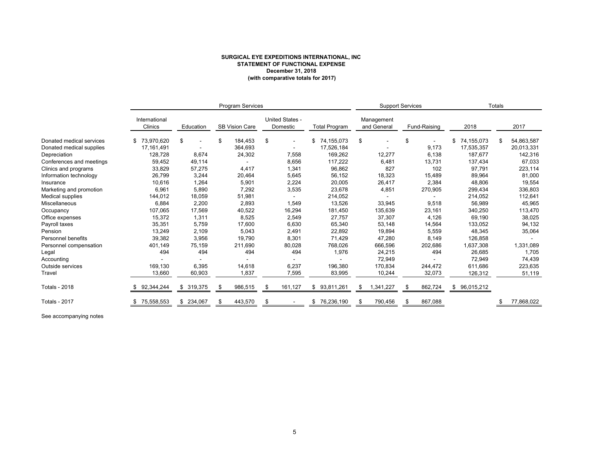#### **SURGICAL EYE EXPEDITIONS INTERNATIONAL, INC STATEMENT OF FUNCTIONAL EXPENSE December 31, 2018 (with comparative totals for 2017)**

|                           | <b>Program Services</b>  |               |    |                       |    |                                    | <b>Support Services</b> |    |                           | <b>Totals</b> |              |                  |   |            |
|---------------------------|--------------------------|---------------|----|-----------------------|----|------------------------------------|-------------------------|----|---------------------------|---------------|--------------|------------------|---|------------|
|                           | International<br>Clinics | Education     |    | <b>SB Vision Care</b> |    | <b>United States -</b><br>Domestic | <b>Total Program</b>    |    | Management<br>and General |               | Fund-Raising | 2018             |   | 2017       |
| Donated medical services  | 73,970,620               | \$            | \$ | 184,453               | \$ |                                    | 74,155,073<br>\$        | \$ |                           | \$            |              | 74,155,073<br>\$ | S | 54,863,587 |
| Donated medical supplies  | 17,161,491               |               |    | 364,693               |    | $\overline{\phantom{a}}$           | 17,526,184              |    |                           |               | 9,173        | 17,535,357       |   | 20,013,331 |
| Depreciation              | 128,728                  | 8,674         |    | 24,302                |    | 7,558                              | 169,262                 |    | 12,277                    |               | 6,138        | 187,677          |   | 142,316    |
| Conferences and meetings  | 59,452                   | 49,114        |    |                       |    | 8,656                              | 117,222                 |    | 6,481                     |               | 13,731       | 137,434          |   | 67,033     |
| Clinics and programs      | 33,829                   | 57,275        |    | 4,417                 |    | 1,341                              | 96,862                  |    | 827                       |               | 102          | 97,791           |   | 223,114    |
| Information technology    | 26,799                   | 3,244         |    | 20,464                |    | 5,645                              | 56,152                  |    | 18,323                    |               | 15,489       | 89,964           |   | 81,000     |
| Insurance                 | 10,616                   | 1,264         |    | 5,901                 |    | 2,224                              | 20,005                  |    | 26,417                    |               | 2,384        | 48,806           |   | 19,554     |
| Marketing and promotion   | 6,961                    | 5,890         |    | 7,292                 |    | 3,535                              | 23,678                  |    | 4,851                     |               | 270,905      | 299,434          |   | 336,803    |
| Medical supplies          | 144,012                  | 18,059        |    | 51,981                |    |                                    | 214,052                 |    |                           |               |              | 214,052          |   | 112,641    |
| Miscellaneous             | 6,884                    | 2,200         |    | 2,893                 |    | 1,549                              | 13,526                  |    | 33,945                    |               | 9,518        | 56,989           |   | 45,965     |
| Occupancy                 | 107.065                  | 17,569        |    | 40,522                |    | 16,294                             | 181,450                 |    | 135,639                   |               | 23,161       | 340,250          |   | 113,470    |
| Office expenses           | 15,372                   | 1,311         |    | 8,525                 |    | 2,549                              | 27,757                  |    | 37,307                    |               | 4,126        | 69,190           |   | 38,025     |
| Payroll taxes             | 35,351                   | 5,759         |    | 17,600                |    | 6,630                              | 65,340                  |    | 53,148                    |               | 14,564       | 133,052          |   | 94,132     |
| Pension                   | 13,249                   | 2,109         |    | 5,043                 |    | 2,491                              | 22,892                  |    | 19,894                    |               | 5,559        | 48,345           |   | 35,064     |
| <b>Personnel benefits</b> | 39,382                   | 3,956         |    | 19,790                |    | 8,301                              | 71,429                  |    | 47,280                    |               | 8,149        | 126,858          |   |            |
| Personnel compensation    | 401,149                  | 75,159        |    | 211,690               |    | 80,028                             | 768,026                 |    | 666,596                   |               | 202,686      | 1,637,308        |   | 1,331,089  |
| Legal                     | 494                      | 494           |    | 494                   |    | 494                                | 1,976                   |    | 24,215                    |               | 494          | 26,685           |   | 1,705      |
| Accounting                |                          |               |    |                       |    |                                    |                         |    | 72,949                    |               |              | 72,949           |   | 74,439     |
| Outside services          | 169,130                  | 6,395         |    | 14,618                |    | 6,237                              | 196,380                 |    | 170,834                   |               | 244,472      | 611,686          |   | 223,635    |
| Travel                    | 13,660                   | 60,903        |    | 1,837                 |    | 7,595                              | 83,995                  |    | 10,244                    |               | 32,073       | 126,312          |   | 51,119     |
| <b>Totals - 2018</b>      | 92,344,244               | \$319,375     | \$ | 986,515               | \$ | 161,127                            | \$93,811,261            | \$ | 1,341,227                 |               | 862,724      | \$96,015,212     |   |            |
| <b>Totals - 2017</b>      | 75,558,553               | 234,067<br>S. | \$ | 443,570               | \$ |                                    | 76,236,190<br>\$        | \$ | 790,456                   | \$            | 867,088      |                  |   | 77,868,022 |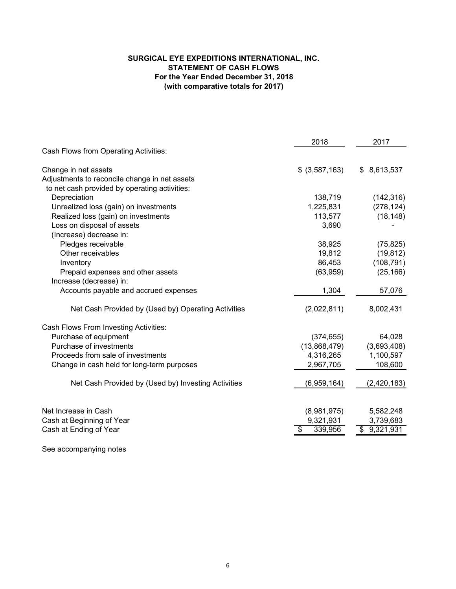### **STATEMENT OF CASH FLOWS For the Year Ended December 31, 2018 (with comparative totals for 2017) SURGICAL EYE EXPEDITIONS INTERNATIONAL, INC.**

|                                                     | 2018           | 2017            |
|-----------------------------------------------------|----------------|-----------------|
| Cash Flows from Operating Activities:               |                |                 |
| Change in net assets                                | \$ (3,587,163) | \$8,613,537     |
| Adjustments to reconcile change in net assets       |                |                 |
| to net cash provided by operating activities:       |                |                 |
| Depreciation                                        | 138,719        | (142, 316)      |
| Unrealized loss (gain) on investments               | 1,225,831      | (278, 124)      |
| Realized loss (gain) on investments                 | 113,577        | (18, 148)       |
| Loss on disposal of assets                          | 3,690          |                 |
| (Increase) decrease in:                             |                |                 |
| Pledges receivable                                  | 38,925         | (75, 825)       |
| Other receivables                                   | 19,812         | (19, 812)       |
| Inventory                                           | 86,453         | (108, 791)      |
| Prepaid expenses and other assets                   | (63,959)       | (25, 166)       |
| Increase (decrease) in:                             |                |                 |
| Accounts payable and accrued expenses               | 1,304          | 57,076          |
| Net Cash Provided by (Used by) Operating Activities | (2,022,811)    | 8,002,431       |
| Cash Flows From Investing Activities:               |                |                 |
| Purchase of equipment                               | (374, 655)     | 64,028          |
| Purchase of investments                             | (13,868,479)   | (3,693,408)     |
| Proceeds from sale of investments                   | 4,316,265      | 1,100,597       |
| Change in cash held for long-term purposes          | 2,967,705      | 108,600         |
| Net Cash Provided by (Used by) Investing Activities | (6,959,164)    | (2,420,183)     |
| Net Increase in Cash                                | (8,981,975)    | 5,582,248       |
| Cash at Beginning of Year                           | 9,321,931      | 3,739,683       |
| Cash at Ending of Year                              | 339,956        | 9,321,931<br>\$ |
|                                                     |                |                 |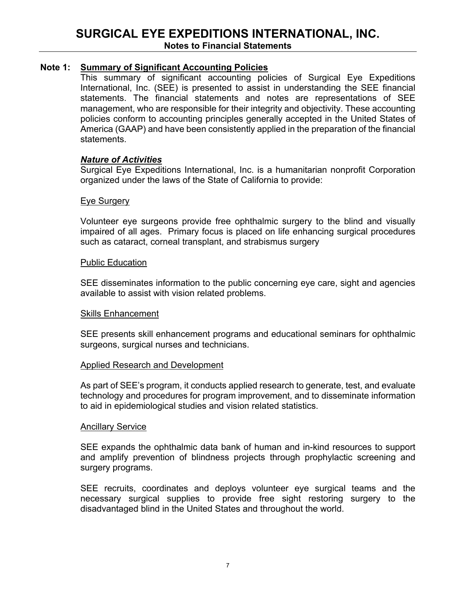### **Note 1: Summary of Significant Accounting Policies**

This summary of significant accounting policies of Surgical Eye Expeditions International, Inc. (SEE) is presented to assist in understanding the SEE financial statements. The financial statements and notes are representations of SEE management, who are responsible for their integrity and objectivity. These accounting policies conform to accounting principles generally accepted in the United States of America (GAAP) and have been consistently applied in the preparation of the financial statements.

### *Nature of Activities*

Surgical Eye Expeditions International, Inc. is a humanitarian nonprofit Corporation organized under the laws of the State of California to provide:

#### Eye Surgery

Volunteer eye surgeons provide free ophthalmic surgery to the blind and visually impaired of all ages. Primary focus is placed on life enhancing surgical procedures such as cataract, corneal transplant, and strabismus surgery

### Public Education

SEE disseminates information to the public concerning eye care, sight and agencies available to assist with vision related problems.

#### Skills Enhancement

SEE presents skill enhancement programs and educational seminars for ophthalmic surgeons, surgical nurses and technicians.

### Applied Research and Development

As part of SEE's program, it conducts applied research to generate, test, and evaluate technology and procedures for program improvement, and to disseminate information to aid in epidemiological studies and vision related statistics.

#### Ancillary Service

SEE expands the ophthalmic data bank of human and in-kind resources to support and amplify prevention of blindness projects through prophylactic screening and surgery programs.

SEE recruits, coordinates and deploys volunteer eye surgical teams and the necessary surgical supplies to provide free sight restoring surgery to the disadvantaged blind in the United States and throughout the world.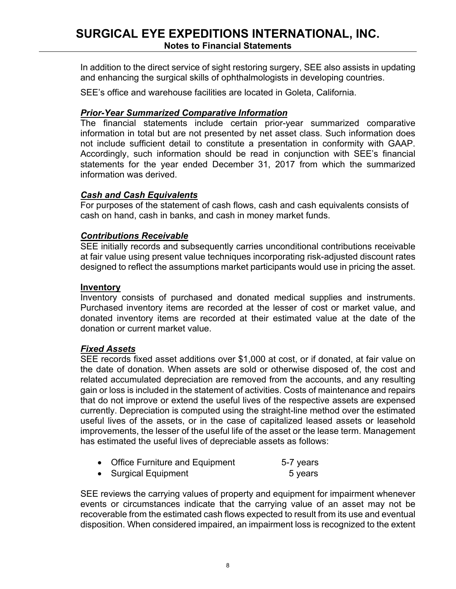In addition to the direct service of sight restoring surgery, SEE also assists in updating and enhancing the surgical skills of ophthalmologists in developing countries.

SEE's office and warehouse facilities are located in Goleta, California.

### *Prior-Year Summarized Comparative Information*

The financial statements include certain prior-year summarized comparative information in total but are not presented by net asset class. Such information does not include sufficient detail to constitute a presentation in conformity with GAAP. Accordingly, such information should be read in conjunction with SEE's financial statements for the year ended December 31, 2017 from which the summarized information was derived.

### *Cash and Cash Equivalents*

For purposes of the statement of cash flows, cash and cash equivalents consists of cash on hand, cash in banks, and cash in money market funds.

### *Contributions Receivable*

SEE initially records and subsequently carries unconditional contributions receivable at fair value using present value techniques incorporating risk-adjusted discount rates designed to reflect the assumptions market participants would use in pricing the asset.

### **Inventory**

Inventory consists of purchased and donated medical supplies and instruments. Purchased inventory items are recorded at the lesser of cost or market value, and donated inventory items are recorded at their estimated value at the date of the donation or current market value.

### *Fixed Assets*

SEE records fixed asset additions over \$1,000 at cost, or if donated, at fair value on the date of donation. When assets are sold or otherwise disposed of, the cost and related accumulated depreciation are removed from the accounts, and any resulting gain or loss is included in the statement of activities. Costs of maintenance and repairs that do not improve or extend the useful lives of the respective assets are expensed currently. Depreciation is computed using the straight-line method over the estimated useful lives of the assets, or in the case of capitalized leased assets or leasehold improvements, the lesser of the useful life of the asset or the lease term. Management has estimated the useful lives of depreciable assets as follows:

|  | <b>Office Furniture and Equipment</b> | 5-7 years |
|--|---------------------------------------|-----------|
|--|---------------------------------------|-----------|

• Surgical Equipment 5 years

SEE reviews the carrying values of property and equipment for impairment whenever events or circumstances indicate that the carrying value of an asset may not be recoverable from the estimated cash flows expected to result from its use and eventual disposition. When considered impaired, an impairment loss is recognized to the extent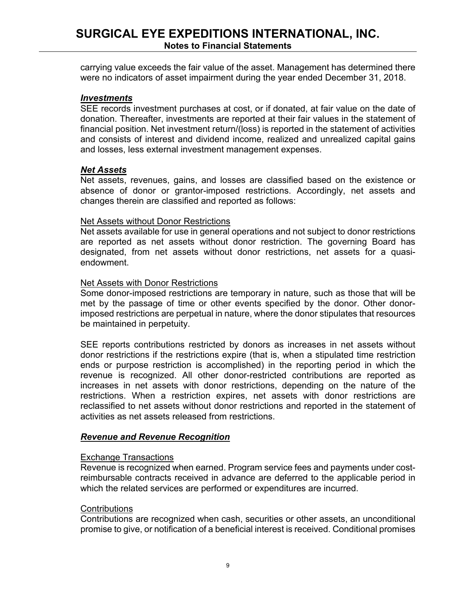carrying value exceeds the fair value of the asset. Management has determined there were no indicators of asset impairment during the year ended December 31, 2018.

### *Investments*

SEE records investment purchases at cost, or if donated, at fair value on the date of donation. Thereafter, investments are reported at their fair values in the statement of financial position. Net investment return/(loss) is reported in the statement of activities and consists of interest and dividend income, realized and unrealized capital gains and losses, less external investment management expenses.

### *Net Assets*

Net assets, revenues, gains, and losses are classified based on the existence or absence of donor or grantor-imposed restrictions. Accordingly, net assets and changes therein are classified and reported as follows:

### Net Assets without Donor Restrictions

Net assets available for use in general operations and not subject to donor restrictions are reported as net assets without donor restriction. The governing Board has designated, from net assets without donor restrictions, net assets for a quasiendowment.

### Net Assets with Donor Restrictions

Some donor-imposed restrictions are temporary in nature, such as those that will be met by the passage of time or other events specified by the donor. Other donorimposed restrictions are perpetual in nature, where the donor stipulates that resources be maintained in perpetuity.

SEE reports contributions restricted by donors as increases in net assets without donor restrictions if the restrictions expire (that is, when a stipulated time restriction ends or purpose restriction is accomplished) in the reporting period in which the revenue is recognized. All other donor-restricted contributions are reported as increases in net assets with donor restrictions, depending on the nature of the restrictions. When a restriction expires, net assets with donor restrictions are reclassified to net assets without donor restrictions and reported in the statement of activities as net assets released from restrictions.

### *Revenue and Revenue Recognition*

#### Exchange Transactions

Revenue is recognized when earned. Program service fees and payments under costreimbursable contracts received in advance are deferred to the applicable period in which the related services are performed or expenditures are incurred.

#### **Contributions**

Contributions are recognized when cash, securities or other assets, an unconditional promise to give, or notification of a beneficial interest is received. Conditional promises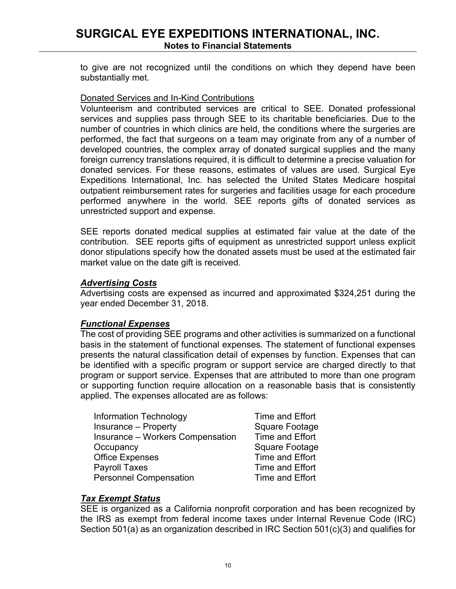to give are not recognized until the conditions on which they depend have been substantially met.

### Donated Services and In-Kind Contributions

Volunteerism and contributed services are critical to SEE. Donated professional services and supplies pass through SEE to its charitable beneficiaries. Due to the number of countries in which clinics are held, the conditions where the surgeries are performed, the fact that surgeons on a team may originate from any of a number of developed countries, the complex array of donated surgical supplies and the many foreign currency translations required, it is difficult to determine a precise valuation for donated services. For these reasons, estimates of values are used. Surgical Eye Expeditions International, Inc. has selected the United States Medicare hospital outpatient reimbursement rates for surgeries and facilities usage for each procedure performed anywhere in the world. SEE reports gifts of donated services as unrestricted support and expense.

SEE reports donated medical supplies at estimated fair value at the date of the contribution. SEE reports gifts of equipment as unrestricted support unless explicit donor stipulations specify how the donated assets must be used at the estimated fair market value on the date gift is received.

### *Advertising Costs*

Advertising costs are expensed as incurred and approximated \$324,251 during the year ended December 31, 2018.

### *Functional Expenses*

The cost of providing SEE programs and other activities is summarized on a functional basis in the statement of functional expenses. The statement of functional expenses presents the natural classification detail of expenses by function. Expenses that can be identified with a specific program or support service are charged directly to that program or support service. Expenses that are attributed to more than one program or supporting function require allocation on a reasonable basis that is consistently applied. The expenses allocated are as follows:

Information Technology Time and Effort Insurance – Property Square Footage Insurance – Workers Compensation Time and Effort Occupancy **Square Footage** Office Expenses Time and Effort Payroll Taxes **Time and Effort** Personnel Compensation Time and Effort

### *Tax Exempt Status*

SEE is organized as a California nonprofit corporation and has been recognized by the IRS as exempt from federal income taxes under Internal Revenue Code (IRC) Section 501(a) as an organization described in IRC Section 501(c)(3) and qualifies for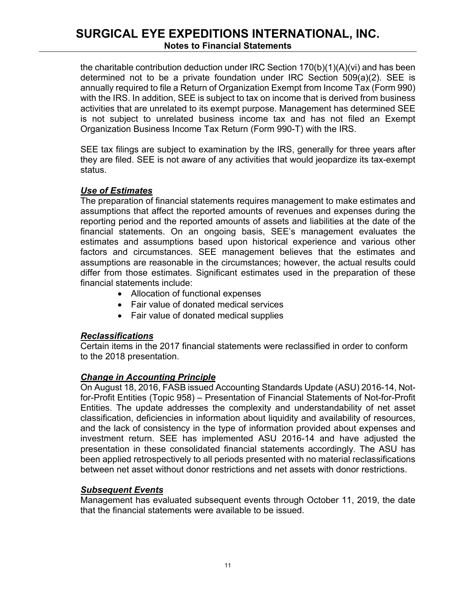the charitable contribution deduction under IRC Section 170(b)(1)(A)(vi) and has been determined not to be a private foundation under IRC Section 509(a)(2). SEE is annually required to file a Return of Organization Exempt from Income Tax (Form 990) with the IRS. In addition, SEE is subject to tax on income that is derived from business activities that are unrelated to its exempt purpose. Management has determined SEE is not subject to unrelated business income tax and has not filed an Exempt Organization Business Income Tax Return (Form 990-T) with the IRS.

SEE tax filings are subject to examination by the IRS, generally for three years after they are filed. SEE is not aware of any activities that would jeopardize its tax-exempt status.

### *Use of Estimates*

The preparation of financial statements requires management to make estimates and assumptions that affect the reported amounts of revenues and expenses during the reporting period and the reported amounts of assets and liabilities at the date of the financial statements. On an ongoing basis, SEE's management evaluates the estimates and assumptions based upon historical experience and various other factors and circumstances. SEE management believes that the estimates and assumptions are reasonable in the circumstances; however, the actual results could differ from those estimates. Significant estimates used in the preparation of these financial statements include:

- Allocation of functional expenses
- Fair value of donated medical services
- Fair value of donated medical supplies

### *Reclassifications*

Certain items in the 2017 financial statements were reclassified in order to conform to the 2018 presentation.

### *Change in Accounting Principle*

On August 18, 2016, FASB issued Accounting Standards Update (ASU) 2016-14, Notfor-Profit Entities (Topic 958) – Presentation of Financial Statements of Not-for-Profit Entities. The update addresses the complexity and understandability of net asset classification, deficiencies in information about liquidity and availability of resources, and the lack of consistency in the type of information provided about expenses and investment return. SEE has implemented ASU 2016-14 and have adjusted the presentation in these consolidated financial statements accordingly. The ASU has been applied retrospectively to all periods presented with no material reclassifications between net asset without donor restrictions and net assets with donor restrictions.

### *Subsequent Events*

Management has evaluated subsequent events through October 11, 2019, the date that the financial statements were available to be issued.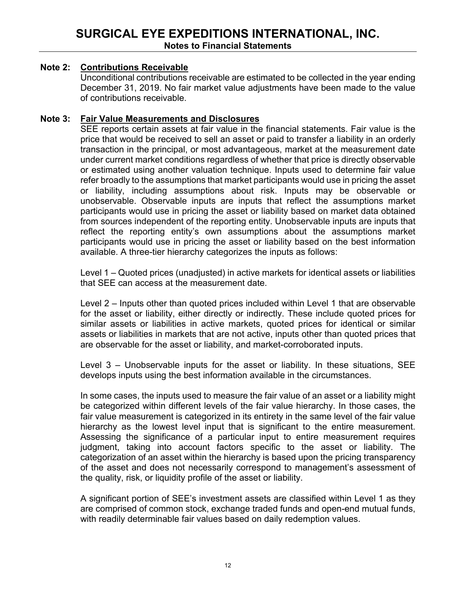### **Note 2: Contributions Receivable**

Unconditional contributions receivable are estimated to be collected in the year ending December 31, 2019. No fair market value adjustments have been made to the value of contributions receivable.

### **Note 3: Fair Value Measurements and Disclosures**

SEE reports certain assets at fair value in the financial statements. Fair value is the price that would be received to sell an asset or paid to transfer a liability in an orderly transaction in the principal, or most advantageous, market at the measurement date under current market conditions regardless of whether that price is directly observable or estimated using another valuation technique. Inputs used to determine fair value refer broadly to the assumptions that market participants would use in pricing the asset or liability, including assumptions about risk. Inputs may be observable or unobservable. Observable inputs are inputs that reflect the assumptions market participants would use in pricing the asset or liability based on market data obtained from sources independent of the reporting entity. Unobservable inputs are inputs that reflect the reporting entity's own assumptions about the assumptions market participants would use in pricing the asset or liability based on the best information available. A three-tier hierarchy categorizes the inputs as follows:

Level 1 – Quoted prices (unadjusted) in active markets for identical assets or liabilities that SEE can access at the measurement date.

Level 2 – Inputs other than quoted prices included within Level 1 that are observable for the asset or liability, either directly or indirectly. These include quoted prices for similar assets or liabilities in active markets, quoted prices for identical or similar assets or liabilities in markets that are not active, inputs other than quoted prices that are observable for the asset or liability, and market-corroborated inputs.

Level 3 – Unobservable inputs for the asset or liability. In these situations, SEE develops inputs using the best information available in the circumstances.

In some cases, the inputs used to measure the fair value of an asset or a liability might be categorized within different levels of the fair value hierarchy. In those cases, the fair value measurement is categorized in its entirety in the same level of the fair value hierarchy as the lowest level input that is significant to the entire measurement. Assessing the significance of a particular input to entire measurement requires judgment, taking into account factors specific to the asset or liability. The categorization of an asset within the hierarchy is based upon the pricing transparency of the asset and does not necessarily correspond to management's assessment of the quality, risk, or liquidity profile of the asset or liability.

A significant portion of SEE's investment assets are classified within Level 1 as they are comprised of common stock, exchange traded funds and open-end mutual funds, with readily determinable fair values based on daily redemption values.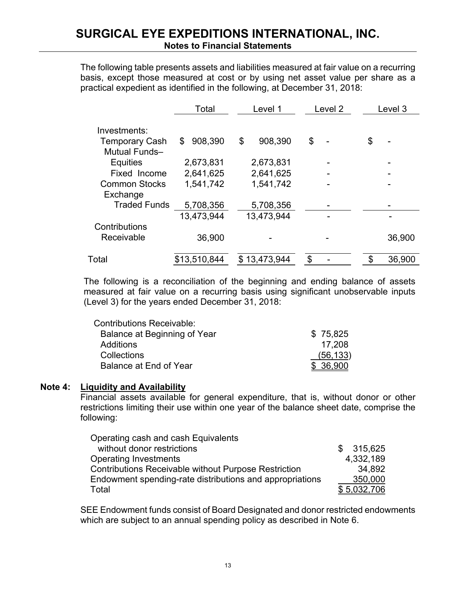The following table presents assets and liabilities measured at fair value on a recurring basis, except those measured at cost or by using net asset value per share as a practical expedient as identified in the following, at December 31, 2018:

|                       | Total         | Level 1          |    | Level 3      |
|-----------------------|---------------|------------------|----|--------------|
| Investments:          |               |                  |    |              |
| <b>Temporary Cash</b> | 908,390<br>\$ | \$<br>908,390    | \$ | \$<br>-      |
| <b>Mutual Funds-</b>  |               |                  |    |              |
| <b>Equities</b>       | 2,673,831     | 2,673,831        |    |              |
| Fixed Income          | 2,641,625     | 2,641,625        |    |              |
| <b>Common Stocks</b>  | 1,541,742     | 1,541,742        |    |              |
| Exchange              |               |                  |    |              |
| <b>Traded Funds</b>   | 5,708,356     | 5,708,356        |    |              |
|                       | 13,473,944    | 13,473,944       |    |              |
| Contributions         |               |                  |    |              |
| Receivable            | 36,900        |                  |    | 36,900       |
| Total                 | \$13,510,844  | 13,473,944<br>\$ | \$ | \$<br>36,900 |

The following is a reconciliation of the beginning and ending balance of assets measured at fair value on a recurring basis using significant unobservable inputs (Level 3) for the years ended December 31, 2018:

| Contributions Receivable:    |           |
|------------------------------|-----------|
| Balance at Beginning of Year | \$75,825  |
| Additions                    | 17.208    |
| <b>Collections</b>           | (56, 133) |
| Balance at End of Year       | \$ 36,900 |

### **Note 4: Liquidity and Availability**

Financial assets available for general expenditure, that is, without donor or other restrictions limiting their use within one year of the balance sheet date, comprise the following:

| Operating cash and cash Equivalents                         |             |
|-------------------------------------------------------------|-------------|
| without donor restrictions                                  | \$315,625   |
| <b>Operating Investments</b>                                | 4,332,189   |
| <b>Contributions Receivable without Purpose Restriction</b> | 34.892      |
| Endowment spending-rate distributions and appropriations    | 350,000     |
| Total                                                       | \$5.032.706 |

SEE Endowment funds consist of Board Designated and donor restricted endowments which are subject to an annual spending policy as described in Note 6.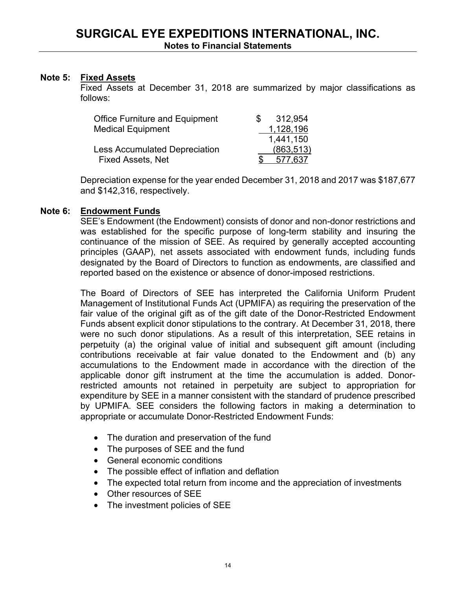### **Note 5: Fixed Assets**

Fixed Assets at December 31, 2018 are summarized by major classifications as follows:

| <b>Office Furniture and Equipment</b> | 312,954    |
|---------------------------------------|------------|
| <b>Medical Equipment</b>              | 1,128,196  |
|                                       | 1,441,150  |
| <b>Less Accumulated Depreciation</b>  | (863, 513) |
| <b>Fixed Assets, Net</b>              | 577.637    |

Depreciation expense for the year ended December 31, 2018 and 2017 was \$187,677 and \$142,316, respectively.

### **Note 6: Endowment Funds**

SEE's Endowment (the Endowment) consists of donor and non-donor restrictions and was established for the specific purpose of long-term stability and insuring the continuance of the mission of SEE. As required by generally accepted accounting principles (GAAP), net assets associated with endowment funds, including funds designated by the Board of Directors to function as endowments, are classified and reported based on the existence or absence of donor-imposed restrictions.

The Board of Directors of SEE has interpreted the California Uniform Prudent Management of Institutional Funds Act (UPMIFA) as requiring the preservation of the fair value of the original gift as of the gift date of the Donor-Restricted Endowment Funds absent explicit donor stipulations to the contrary. At December 31, 2018, there were no such donor stipulations. As a result of this interpretation, SEE retains in perpetuity (a) the original value of initial and subsequent gift amount (including contributions receivable at fair value donated to the Endowment and (b) any accumulations to the Endowment made in accordance with the direction of the applicable donor gift instrument at the time the accumulation is added. Donorrestricted amounts not retained in perpetuity are subject to appropriation for expenditure by SEE in a manner consistent with the standard of prudence prescribed by UPMIFA. SEE considers the following factors in making a determination to appropriate or accumulate Donor-Restricted Endowment Funds:

- The duration and preservation of the fund
- The purposes of SEE and the fund
- General economic conditions
- The possible effect of inflation and deflation
- The expected total return from income and the appreciation of investments
- Other resources of SEE
- The investment policies of SEE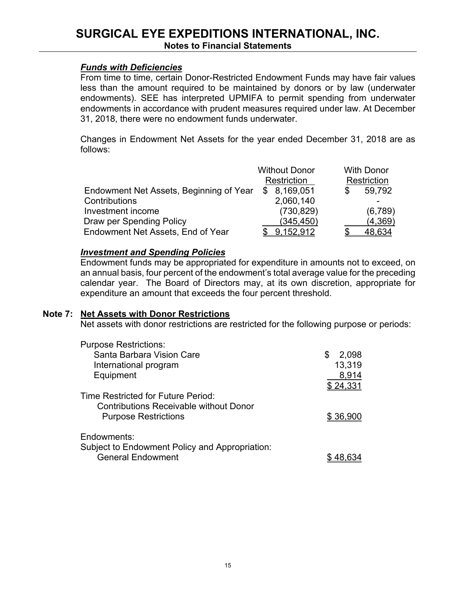### *Funds with Deficiencies*

From time to time, certain Donor-Restricted Endowment Funds may have fair values less than the amount required to be maintained by donors or by law (underwater endowments). SEE has interpreted UPMIFA to permit spending from underwater endowments in accordance with prudent measures required under law. At December 31, 2018, there were no endowment funds underwater.

Changes in Endowment Net Assets for the year ended December 31, 2018 are as follows:

|                                         | <b>Without Donor</b> | <b>With Donor</b> |
|-----------------------------------------|----------------------|-------------------|
|                                         | Restriction          | Restriction       |
| Endowment Net Assets, Beginning of Year | \$8,169,051          | 59,792            |
| Contributions                           | 2,060,140            |                   |
| Investment income                       | (730, 829)           | (6, 789)          |
| Draw per Spending Policy                | (345, 450)           | (4,369)           |
| Endowment Net Assets, End of Year       | 9,152,912            | 48.634            |

### *Investment and Spending Policies*

Endowment funds may be appropriated for expenditure in amounts not to exceed, on an annual basis, four percent of the endowment's total average value for the preceding calendar year. The Board of Directors may, at its own discretion, appropriate for expenditure an amount that exceeds the four percent threshold.

### **Note 7: Net Assets with Donor Restrictions**

Net assets with donor restrictions are restricted for the following purpose or periods:

| <b>Purpose Restrictions:</b>                   |                 |
|------------------------------------------------|-----------------|
| Santa Barbara Vision Care                      | 2,098<br>S      |
| International program                          | 13,319          |
| Equipment                                      | 8,914           |
|                                                | <u>\$24,331</u> |
| Time Restricted for Future Period:             |                 |
| <b>Contributions Receivable without Donor</b>  |                 |
| <b>Purpose Restrictions</b>                    | \$36,900        |
| Endowments:                                    |                 |
| Subject to Endowment Policy and Appropriation: |                 |
| <b>General Endowment</b>                       |                 |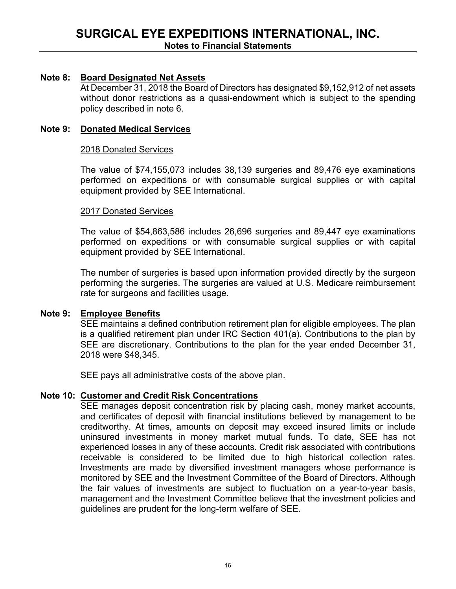### **Note 8: Board Designated Net Assets**

At December 31, 2018 the Board of Directors has designated \$9,152,912 of net assets without donor restrictions as a quasi-endowment which is subject to the spending policy described in note 6.

### **Note 9: Donated Medical Services**

### 2018 Donated Services

The value of \$74,155,073 includes 38,139 surgeries and 89,476 eye examinations performed on expeditions or with consumable surgical supplies or with capital equipment provided by SEE International.

### 2017 Donated Services

The value of \$54,863,586 includes 26,696 surgeries and 89,447 eye examinations performed on expeditions or with consumable surgical supplies or with capital equipment provided by SEE International.

The number of surgeries is based upon information provided directly by the surgeon performing the surgeries. The surgeries are valued at U.S. Medicare reimbursement rate for surgeons and facilities usage.

### **Note 9: Employee Benefits**

SEE maintains a defined contribution retirement plan for eligible employees. The plan is a qualified retirement plan under IRC Section 401(a). Contributions to the plan by SEE are discretionary. Contributions to the plan for the year ended December 31, 2018 were \$48,345.

SEE pays all administrative costs of the above plan.

### **Note 10: Customer and Credit Risk Concentrations**

SEE manages deposit concentration risk by placing cash, money market accounts, and certificates of deposit with financial institutions believed by management to be creditworthy. At times, amounts on deposit may exceed insured limits or include uninsured investments in money market mutual funds. To date, SEE has not experienced losses in any of these accounts. Credit risk associated with contributions receivable is considered to be limited due to high historical collection rates. Investments are made by diversified investment managers whose performance is monitored by SEE and the Investment Committee of the Board of Directors. Although the fair values of investments are subject to fluctuation on a year-to-year basis, management and the Investment Committee believe that the investment policies and guidelines are prudent for the long-term welfare of SEE.